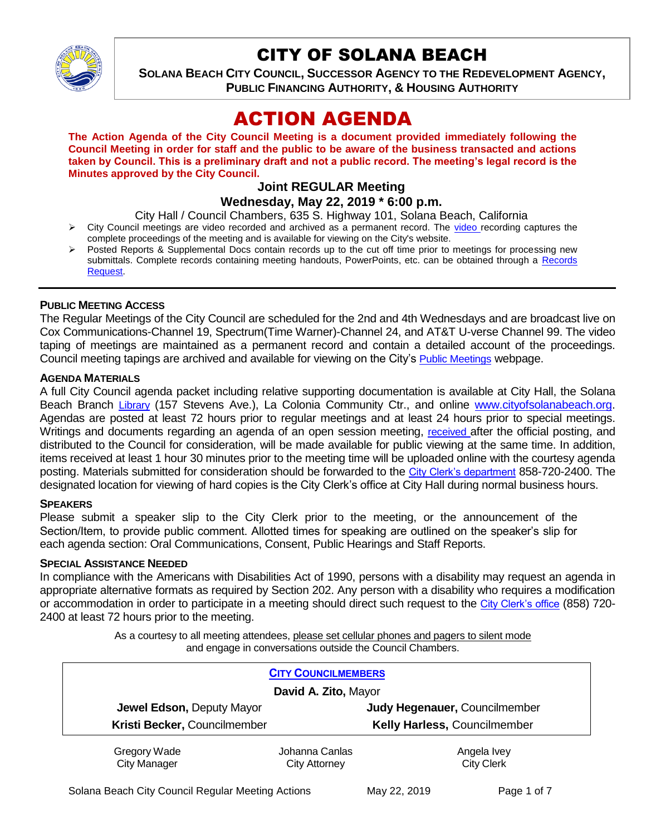

# CITY OF SOLANA BEACH

**SOLANA BEACH CITY COUNCIL, SUCCESSOR AGENCY TO THE REDEVELOPMENT AGENCY, PUBLIC FINANCING AUTHORITY, & HOUSING AUTHORITY** 

# ACTION AGENDA

**The Action Agenda of the City Council Meeting is a document provided immediately following the Council Meeting in order for staff and the public to be aware of the business transacted and actions taken by Council. This is a preliminary draft and not a public record. The meeting's legal record is the Minutes approved by the City Council.**

# **Joint REGULAR Meeting**

## **Wednesday, May 22, 2019 \* 6:00 p.m.**

City Hall / Council Chambers, 635 S. Highway 101, Solana Beach, California

- $\triangleright$  City Council meetings are [video r](https://solanabeach.12milesout.com/#page=1)ecorded and archived as a permanent record. The video recording captures the complete proceedings of the meeting and is available for viewing on the City's website.
- Posted Reports & Supplemental Docs contain records up to the cut off time prior to meetings for processing new submittals. Complete records containing meeting handouts, PowerPoints, etc. can be obtained through a Records [Request.](http://www.ci.solana-beach.ca.us/index.asp?SEC=F5D45D10-70CE-4291-A27C-7BD633FC6742&Type=B_BASIC)

#### **PUBLIC MEETING ACCESS**

The Regular Meetings of the City Council are scheduled for the 2nd and 4th Wednesdays and are broadcast live on Cox Communications-Channel 19, Spectrum(Time Warner)-Channel 24, and AT&T U-verse Channel 99. The video taping of meetings are maintained as a permanent record and contain a detailed account of the proceedings. Council meeting tapings are archived and available for viewing on the City's [Public Meetings](https://www.ci.solana-beach.ca.us/index.asp?SEC=F0F1200D-21C6-4A88-8AE1-0BC07C1A81A7&Type=B_BASIC) webpage.

#### **AGENDA MATERIALS**

A full City Council agenda packet including relative supporting documentation is available at City Hall, the Solana Beach Branch [Library](http://www.sdcl.org/locations_SB.html) (157 Stevens Ave.), La Colonia Community Ctr., and online [www.cityofsolanabeach.org.](http://www.cityofsolanabeach.org/) Agendas are posted at least 72 hours prior to regular meetings and at least 24 hours prior to special meetings. Writings and documents regarding an agenda of an open session meeting, [received](mailto:EMAILGRP-CityClerksOfc@cosb.org) after the official posting, and distributed to the Council for consideration, will be made available for public viewing at the same time. In addition, items received at least 1 hour 30 minutes prior to the meeting time will be uploaded online with the courtesy agenda posting. Materials submitted for consideration should be forwarded to the [City Clerk's department](mailto:EMAILGRP-CityClerksOfc@cosb.org) 858-720-2400. The designated location for viewing of hard copies is the City Clerk's office at City Hall during normal business hours.

#### **SPEAKERS**

Please submit a speaker slip to the City Clerk prior to the meeting, or the announcement of the Section/Item, to provide public comment. Allotted times for speaking are outlined on the speaker's slip for each agenda section: Oral Communications, Consent, Public Hearings and Staff Reports.

## **SPECIAL ASSISTANCE NEEDED**

In compliance with the Americans with Disabilities Act of 1990, persons with a disability may request an agenda in appropriate alternative formats as required by Section 202. Any person with a disability who requires a modification or accommodation in order to participate in a meeting should direct such request to the [City Clerk's office](mailto:clerkadmin@cosb.org?subject=City%20Clerk%20Notice%20of%20Special%20Services%20Needed) (858) 720- 2400 at least 72 hours prior to the meeting.

> As a courtesy to all meeting attendees, please set cellular phones and pagers to silent mode and engage in conversations outside the Council Chambers.

|                              | <b>CITY COUNCILMEMBERS</b> |                                     |  |
|------------------------------|----------------------------|-------------------------------------|--|
| David A. Zito, Mayor         |                            |                                     |  |
| Jewel Edson, Deputy Mayor    |                            | Judy Hegenauer, Councilmember       |  |
| Kristi Becker, Councilmember |                            | <b>Kelly Harless, Councilmember</b> |  |
| Gregory Wade                 | Johanna Canlas             | Angela Ivey                         |  |
| <b>City Manager</b>          | <b>City Attorney</b>       | <b>City Clerk</b>                   |  |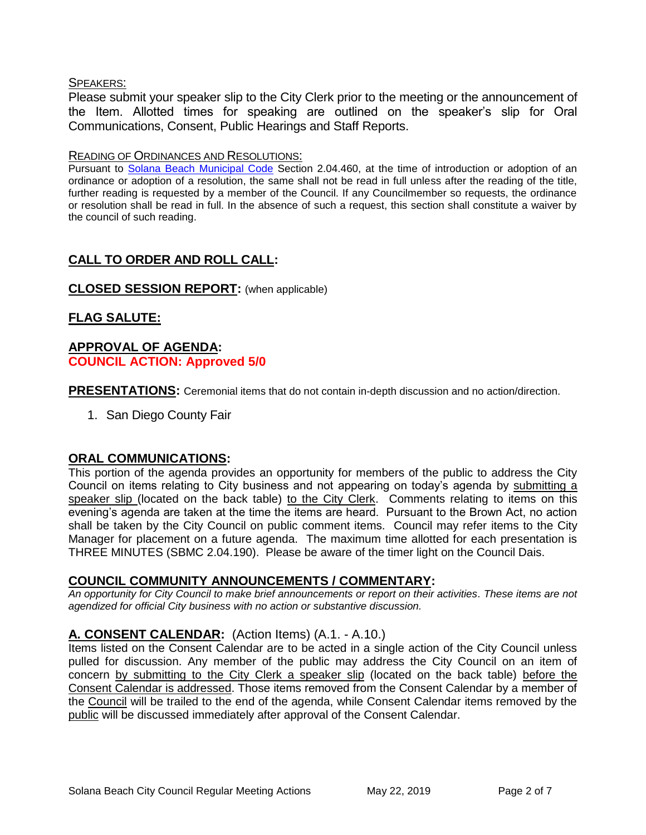#### SPEAKERS:

Please submit your speaker slip to the City Clerk prior to the meeting or the announcement of the Item. Allotted times for speaking are outlined on the speaker's slip for Oral Communications, Consent, Public Hearings and Staff Reports.

#### READING OF ORDINANCES AND RESOLUTIONS:

Pursuant to [Solana Beach Municipal Code](mailto:https://www.codepublishing.com/CA/SolanaBeach/) Section 2.04.460, at the time of introduction or adoption of an ordinance or adoption of a resolution, the same shall not be read in full unless after the reading of the title, further reading is requested by a member of the Council. If any Councilmember so requests, the ordinance or resolution shall be read in full. In the absence of such a request, this section shall constitute a waiver by the council of such reading.

# **CALL TO ORDER AND ROLL CALL:**

## **CLOSED SESSION REPORT:** (when applicable)

## **FLAG SALUTE:**

## **APPROVAL OF AGENDA: COUNCIL ACTION: Approved 5/0**

**PRESENTATIONS:** Ceremonial items that do not contain in-depth discussion and no action/direction.

1. San Diego County Fair

## **ORAL COMMUNICATIONS:**

This portion of the agenda provides an opportunity for members of the public to address the City Council on items relating to City business and not appearing on today's agenda by submitting a speaker slip (located on the back table) to the City Clerk. Comments relating to items on this evening's agenda are taken at the time the items are heard. Pursuant to the Brown Act, no action shall be taken by the City Council on public comment items. Council may refer items to the City Manager for placement on a future agenda. The maximum time allotted for each presentation is THREE MINUTES (SBMC 2.04.190). Please be aware of the timer light on the Council Dais.

## **COUNCIL COMMUNITY ANNOUNCEMENTS / COMMENTARY:**

*An opportunity for City Council to make brief announcements or report on their activities. These items are not agendized for official City business with no action or substantive discussion.* 

## **A. CONSENT CALENDAR:** (Action Items) (A.1. - A.10.)

Items listed on the Consent Calendar are to be acted in a single action of the City Council unless pulled for discussion. Any member of the public may address the City Council on an item of concern by submitting to the City Clerk a speaker slip (located on the back table) before the Consent Calendar is addressed. Those items removed from the Consent Calendar by a member of the Council will be trailed to the end of the agenda, while Consent Calendar items removed by the public will be discussed immediately after approval of the Consent Calendar.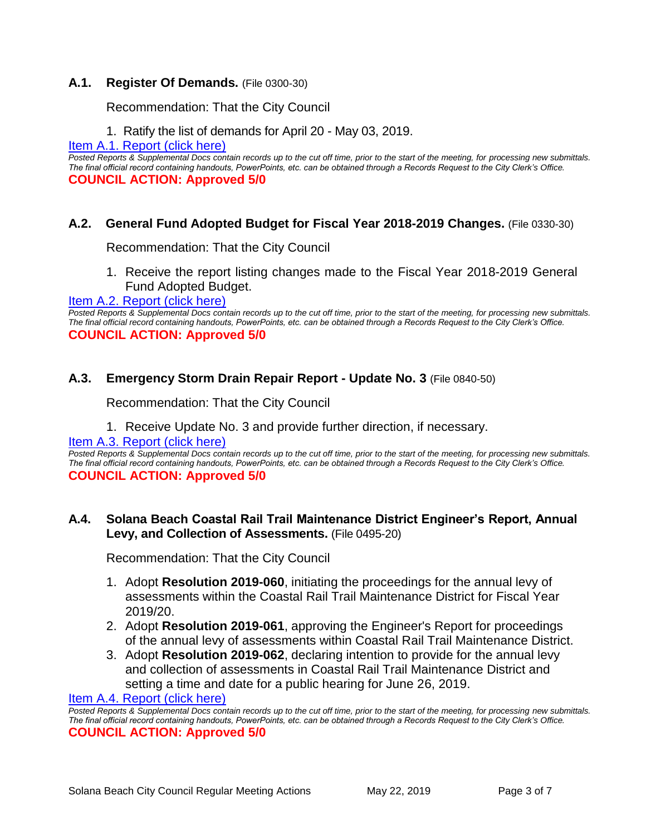## **A.1. Register Of Demands.** (File 0300-30)

Recommendation: That the City Council

1. Ratify the list of demands for April 20 - May 03, 2019.

[Item A.1. Report \(click here\)](https://solanabeach.govoffice3.com/vertical/Sites/%7B840804C2-F869-4904-9AE3-720581350CE7%7D/uploads/Item_A.1._Report_(click_here)_05-22-19_-_O.pdf) 

*Posted Reports & Supplemental Docs contain records up to the cut off time, prior to the start of the meeting, for processing new submittals. The final official record containing handouts, PowerPoints, etc. can be obtained through a Records Request to the City Clerk's Office.* **COUNCIL ACTION: Approved 5/0**

## **A.2. General Fund Adopted Budget for Fiscal Year 2018-2019 Changes.** (File 0330-30)

Recommendation: That the City Council

1. Receive the report listing changes made to the Fiscal Year 2018-2019 General Fund Adopted Budget.

#### Item A.2. Report (click here)

*Posted Reports & Supplemental Docs contain records up to the cut off time, prior to the start of the meeting, for processing new submittals. The final official record containing handouts, PowerPoints, etc. can be obtained through a Records Request to the City Clerk's Office.* **COUNCIL ACTION: Approved 5/0**

## **A.3. Emergency Storm Drain Repair Report - Update No. 3** (File 0840-50)

Recommendation: That the City Council

1. Receive Update No. 3 and provide further direction, if necessary.

#### [Item A.3. Report \(click here\)](https://solanabeach.govoffice3.com/vertical/Sites/%7B840804C2-F869-4904-9AE3-720581350CE7%7D/uploads/Item_A.3._Report_(click_here)_05-22-19_-_O.pdf)

*Posted Reports & Supplemental Docs contain records up to the cut off time, prior to the start of the meeting, for processing new submittals. The final official record containing handouts, PowerPoints, etc. can be obtained through a Records Request to the City Clerk's Office.* **COUNCIL ACTION: Approved 5/0**

## **A.4. Solana Beach Coastal Rail Trail Maintenance District Engineer's Report, Annual Levy, and Collection of Assessments.** (File 0495-20)

Recommendation: That the City Council

- 1. Adopt **Resolution 2019-060**, initiating the proceedings for the annual levy of assessments within the Coastal Rail Trail Maintenance District for Fiscal Year 2019/20.
- 2. Adopt **Resolution 2019-061**, approving the Engineer's Report for proceedings of the annual levy of assessments within Coastal Rail Trail Maintenance District.
- 3. Adopt **Resolution 2019-062**, declaring intention to provide for the annual levy and collection of assessments in Coastal Rail Trail Maintenance District and setting a time and date for a public hearing for June 26, 2019.

[Item A.4. Report \(click here\)](https://solanabeach.govoffice3.com/vertical/Sites/%7B840804C2-F869-4904-9AE3-720581350CE7%7D/uploads/Item_A.4._Report_(click_here)_05-22-19_-_O.pdf) 

*Posted Reports & Supplemental Docs contain records up to the cut off time, prior to the start of the meeting, for processing new submittals. The final official record containing handouts, PowerPoints, etc. can be obtained through a Records Request to the City Clerk's Office.* **COUNCIL ACTION: Approved 5/0**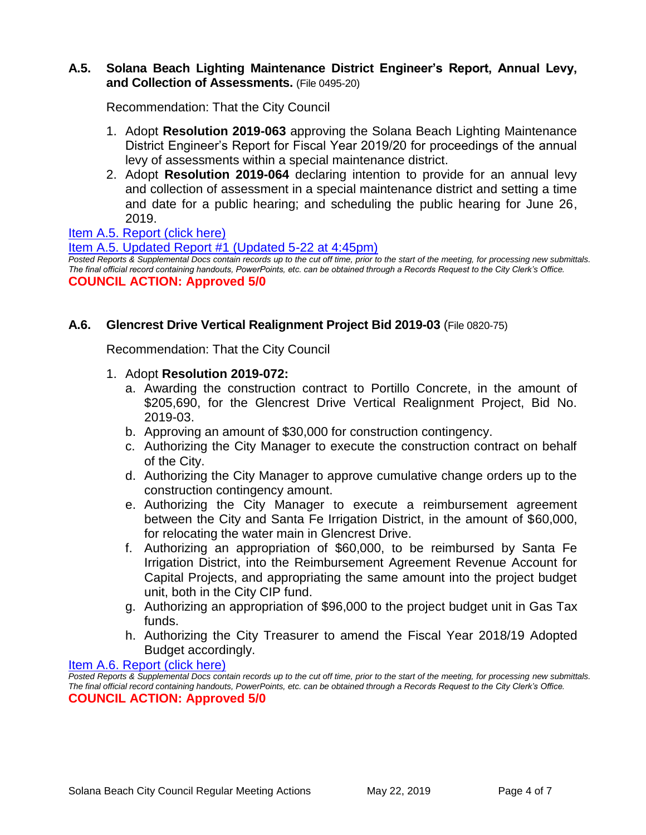#### **A.5. Solana Beach Lighting Maintenance District Engineer's Report, Annual Levy, and Collection of Assessments.** (File 0495-20)

Recommendation: That the City Council

- 1. Adopt **Resolution 2019-063** approving the Solana Beach Lighting Maintenance District Engineer's Report for Fiscal Year 2019/20 for proceedings of the annual levy of assessments within a special maintenance district.
- 2. Adopt **Resolution 2019-064** declaring intention to provide for an annual levy and collection of assessment in a special maintenance district and setting a time and date for a public hearing; and scheduling the public hearing for June 26, 2019.

## [Item A.5. Report \(click here\)](https://solanabeach.govoffice3.com/vertical/Sites/%7B840804C2-F869-4904-9AE3-720581350CE7%7D/uploads/Item_A.5._Report_(click_here)_05-22-19_-_O.pdf)

#### [Item A.5. Updated Report #1 \(Updated 5-22 at 4:45pm\)](https://solanabeach.govoffice3.com/vertical/Sites/%7B840804C2-F869-4904-9AE3-720581350CE7%7D/uploads/Item_A.5._Updated_Report_1.pdf)

*Posted Reports & Supplemental Docs contain records up to the cut off time, prior to the start of the meeting, for processing new submittals. The final official record containing handouts, PowerPoints, etc. can be obtained through a Records Request to the City Clerk's Office.* **COUNCIL ACTION: Approved 5/0**

## **A.6. Glencrest Drive Vertical Realignment Project Bid 2019-03** (File 0820-75)

Recommendation: That the City Council

- 1. Adopt **Resolution 2019-072:**
	- a. Awarding the construction contract to Portillo Concrete, in the amount of \$205,690, for the Glencrest Drive Vertical Realignment Project, Bid No. 2019-03.
	- b. Approving an amount of \$30,000 for construction contingency.
	- c. Authorizing the City Manager to execute the construction contract on behalf of the City.
	- d. Authorizing the City Manager to approve cumulative change orders up to the construction contingency amount.
	- e. Authorizing the City Manager to execute a reimbursement agreement between the City and Santa Fe Irrigation District, in the amount of \$60,000, for relocating the water main in Glencrest Drive.
	- f. Authorizing an appropriation of \$60,000, to be reimbursed by Santa Fe Irrigation District, into the Reimbursement Agreement Revenue Account for Capital Projects, and appropriating the same amount into the project budget unit, both in the City CIP fund.
	- g. Authorizing an appropriation of \$96,000 to the project budget unit in Gas Tax funds.
	- h. Authorizing the City Treasurer to amend the Fiscal Year 2018/19 Adopted Budget accordingly.

[Item A.6. Report \(click here\)](https://solanabeach.govoffice3.com/vertical/Sites/%7B840804C2-F869-4904-9AE3-720581350CE7%7D/uploads/Item_A.6._Report_(click_here)_05-22-19_-_O.pdf) 

*Posted Reports & Supplemental Docs contain records up to the cut off time, prior to the start of the meeting, for processing new submittals. The final official record containing handouts, PowerPoints, etc. can be obtained through a Records Request to the City Clerk's Office.* **COUNCIL ACTION: Approved 5/0**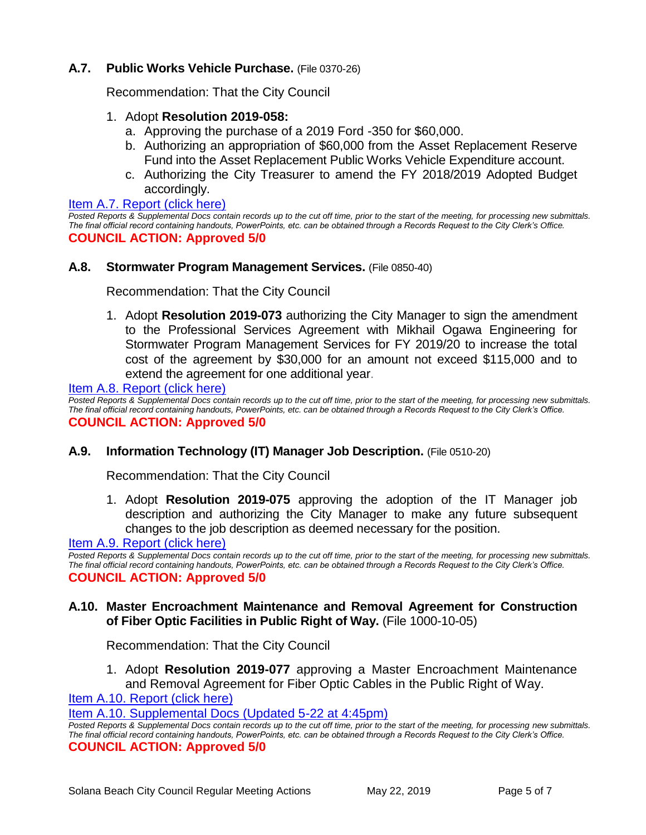## **A.7. Public Works Vehicle Purchase.** (File 0370-26)

Recommendation: That the City Council

## 1. Adopt **Resolution 2019-058:**

- a. Approving the purchase of a 2019 Ford -350 for \$60,000.
- b. Authorizing an appropriation of \$60,000 from the Asset Replacement Reserve Fund into the Asset Replacement Public Works Vehicle Expenditure account.
- c. Authorizing the City Treasurer to amend the FY 2018/2019 Adopted Budget accordingly.

#### [Item A.7. Report \(click here\)](https://solanabeach.govoffice3.com/vertical/Sites/%7B840804C2-F869-4904-9AE3-720581350CE7%7D/uploads/Item_A.7._Report_(click_here)_05-22-19_-_O.pdf)

*Posted Reports & Supplemental Docs contain records up to the cut off time, prior to the start of the meeting, for processing new submittals. The final official record containing handouts, PowerPoints, etc. can be obtained through a Records Request to the City Clerk's Office.* **COUNCIL ACTION: Approved 5/0**

#### **A.8. Stormwater Program Management Services.** (File 0850-40)

Recommendation: That the City Council

1. Adopt **Resolution 2019-073** authorizing the City Manager to sign the amendment to the Professional Services Agreement with Mikhail Ogawa Engineering for Stormwater Program Management Services for FY 2019/20 to increase the total cost of the agreement by \$30,000 for an amount not exceed \$115,000 and to extend the agreement for one additional year.

#### [Item A.8. Report \(click here\)](https://solanabeach.govoffice3.com/vertical/Sites/%7B840804C2-F869-4904-9AE3-720581350CE7%7D/uploads/Item_A.8._Report_(click_here)_05-22-19_-_O.pdf)

*Posted Reports & Supplemental Docs contain records up to the cut off time, prior to the start of the meeting, for processing new submittals. The final official record containing handouts, PowerPoints, etc. can be obtained through a Records Request to the City Clerk's Office.* **COUNCIL ACTION: Approved 5/0**

#### **A.9. Information Technology (IT) Manager Job Description.** (File 0510-20)

Recommendation: That the City Council

1. Adopt **Resolution 2019-075** approving the adoption of the IT Manager job description and authorizing the City Manager to make any future subsequent changes to the job description as deemed necessary for the position.

[Item A.9. Report \(click here\)](https://solanabeach.govoffice3.com/vertical/Sites/%7B840804C2-F869-4904-9AE3-720581350CE7%7D/uploads/Item_A.9._Report_(click_here)_05-22-19_-_O.pdf) 

*Posted Reports & Supplemental Docs contain records up to the cut off time, prior to the start of the meeting, for processing new submittals. The final official record containing handouts, PowerPoints, etc. can be obtained through a Records Request to the City Clerk's Office.* **COUNCIL ACTION: Approved 5/0**

## **A.10. Master Encroachment Maintenance and Removal Agreement for Construction of Fiber Optic Facilities in Public Right of Way.** (File 1000-10-05)

Recommendation: That the City Council

1. Adopt **Resolution 2019-077** approving a Master Encroachment Maintenance and Removal Agreement for Fiber Optic Cables in the Public Right of Way.

[Item A.10. Report \(click here\)](https://solanabeach.govoffice3.com/vertical/Sites/%7B840804C2-F869-4904-9AE3-720581350CE7%7D/uploads/Item_A.10._Report_(click_here)_05-22-19_-_O.pdf) 

[Item A.10. Supplemental Docs \(Updated 5-22 at 4:45pm\)](https://solanabeach.govoffice3.com/vertical/Sites/%7B840804C2-F869-4904-9AE3-720581350CE7%7D/uploads/Item_A.10._Supplemental_Docs_(Updated_5-22_at_430pm).pdf)

*Posted Reports & Supplemental Docs contain records up to the cut off time, prior to the start of the meeting, for processing new submittals. The final official record containing handouts, PowerPoints, etc. can be obtained through a Records Request to the City Clerk's Office.* **COUNCIL ACTION: Approved 5/0**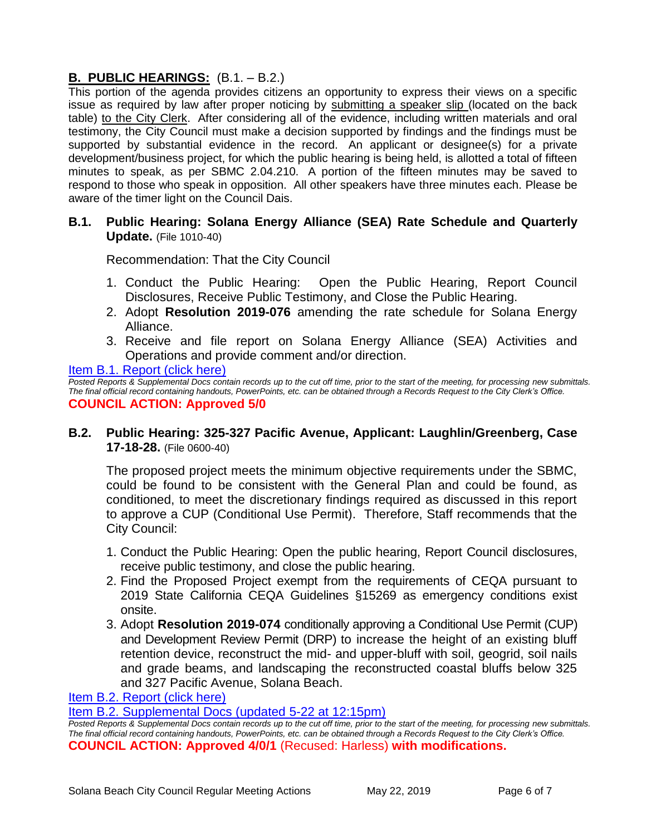## **B. PUBLIC HEARINGS:** (B.1. – B.2.)

This portion of the agenda provides citizens an opportunity to express their views on a specific issue as required by law after proper noticing by submitting a speaker slip (located on the back table) to the City Clerk. After considering all of the evidence, including written materials and oral testimony, the City Council must make a decision supported by findings and the findings must be supported by substantial evidence in the record. An applicant or designee(s) for a private development/business project, for which the public hearing is being held, is allotted a total of fifteen minutes to speak, as per SBMC 2.04.210. A portion of the fifteen minutes may be saved to respond to those who speak in opposition. All other speakers have three minutes each. Please be aware of the timer light on the Council Dais.

## **B.1. Public Hearing: Solana Energy Alliance (SEA) Rate Schedule and Quarterly Update.** (File 1010-40)

Recommendation: That the City Council

- 1. Conduct the Public Hearing: Open the Public Hearing, Report Council Disclosures, Receive Public Testimony, and Close the Public Hearing.
- 2. Adopt **Resolution 2019-076** amending the rate schedule for Solana Energy Alliance.
- 3. Receive and file report on Solana Energy Alliance (SEA) Activities and Operations and provide comment and/or direction.

**Item B.1. Report (click here)** 

*Posted Reports & Supplemental Docs contain records up to the cut off time, prior to the start of the meeting, for processing new submittals. The final official record containing handouts, PowerPoints, etc. can be obtained through a Records Request to the City Clerk's Office.* **COUNCIL ACTION: Approved 5/0**

## **B.2. Public Hearing: 325-327 Pacific Avenue, Applicant: Laughlin/Greenberg, Case 17-18-28.** (File 0600-40)

The proposed project meets the minimum objective requirements under the SBMC, could be found to be consistent with the General Plan and could be found, as conditioned, to meet the discretionary findings required as discussed in this report to approve a CUP (Conditional Use Permit). Therefore, Staff recommends that the City Council:

- 1. Conduct the Public Hearing: Open the public hearing, Report Council disclosures, receive public testimony, and close the public hearing.
- 2. Find the Proposed Project exempt from the requirements of CEQA pursuant to 2019 State California CEQA Guidelines §15269 as emergency conditions exist onsite.
- 3. Adopt **Resolution 2019-074** conditionally approving a Conditional Use Permit (CUP) and Development Review Permit (DRP) to increase the height of an existing bluff retention device, reconstruct the mid- and upper-bluff with soil, geogrid, soil nails and grade beams, and landscaping the reconstructed coastal bluffs below 325 and 327 Pacific Avenue, Solana Beach.

[Item B.2. Report \(click here\)](https://solanabeach.govoffice3.com/vertical/Sites/%7B840804C2-F869-4904-9AE3-720581350CE7%7D/uploads/Item_B.2._Report_(click_here)_05-22-19_-_O.pdf) 

[Item B.2. Supplemental Docs \(updated 5-22 at 12:15pm\)](https://solanabeach.govoffice3.com/vertical/Sites/%7B840804C2-F869-4904-9AE3-720581350CE7%7D/uploads/Item_B.2._Supplemental_Docs_(Updated_5-22_at_12pm)_-_O.pdf)

*Posted Reports & Supplemental Docs contain records up to the cut off time, prior to the start of the meeting, for processing new submittals. The final official record containing handouts, PowerPoints, etc. can be obtained through a Records Request to the City Clerk's Office.* **COUNCIL ACTION: Approved 4/0/1** (Recused: Harless) **with modifications.**